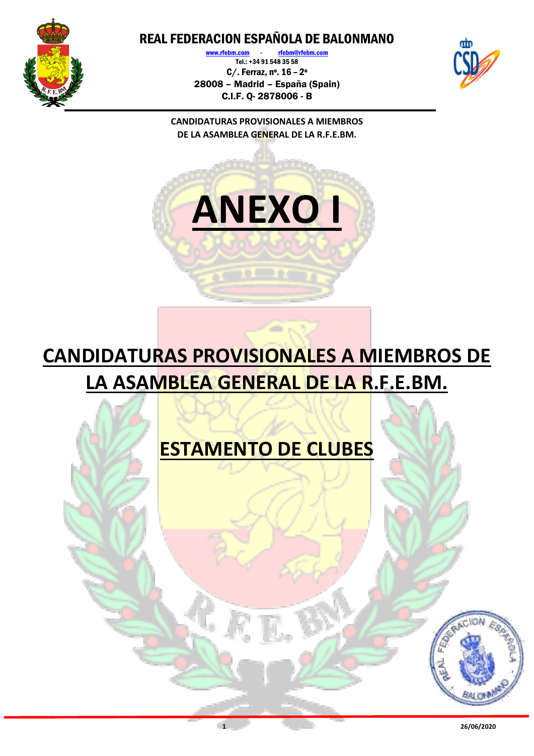

[www.rfebm.com](http://www.rfebm.com/) [rfebm@rfebm.com](mailto:rfebm@rfebm.com) Tel.: +34 91 548 35 58 C/. Ferraz, nº. 16 – 2º 28008 – Madrid – España (Spain) C.I.F. Q- 2878006 - B



**CANDIDATURAS PROVISIONALES A MIEMBROS DE LA ASAMBLEA GENERAL DE LA R.F.E.BM.**



## **CANDIDATURAS PROVISIONALES A MIEMBROS DE LA ASAMBLEA GENERAL DE LA R.F.E.BM.**

### **ESTAMENTO DE CLUBES**

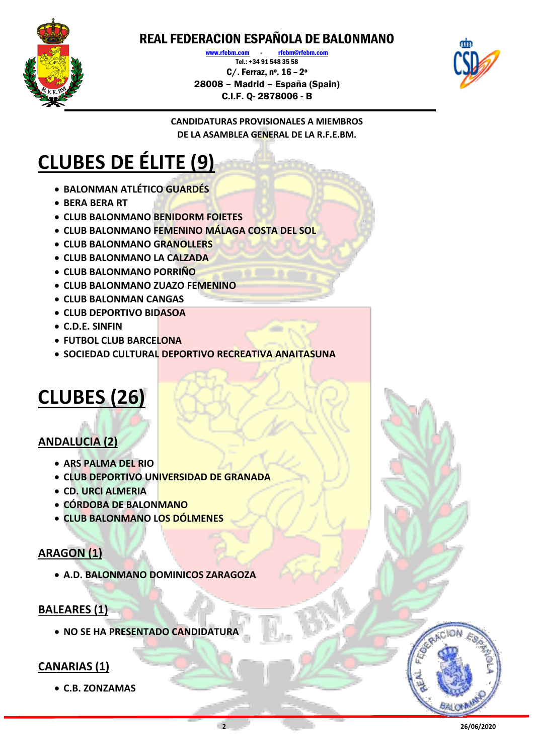

www.rfebm.com Tel.: +34 91 548 35 58 C/. Ferraz, nº. 16 – 2º 28008 – Madrid – España (Spain) C.I.F. Q- 2878006 - B



**CANDIDATURAS PROVISIONALES A MIEMBROS DE LA ASAMBLEA GENERAL DE LA R.F.E.BM.**

# **CLUBES DE ÉLITE (9)**

- **BALONMAN ATLÉTICO GUARDÉS**
- **BERA BERA RT**
- **CLUB BALONMANO BENIDORM FOIETES**
- **CLUB BALONMANO FEMENINO MÁLAGA COSTA DEL SOL**
- **CLUB BALONMANO GRANOLLERS**
- **CLUB BALONMANO LA CALZADA**
- **CLUB BALONMANO PORRIÑO**
- **CLUB BALONMANO ZUAZO FEMENINO**
- **CLUB BALONMAN CANGAS**
- **CLUB DEPORTIVO BIDASOA**
- **C.D.E. SINFIN**
- **FUTBOL CLUB BARCELONA**
- **SOCIEDAD CULTURAL DEPORTIVO RECREATIVA ANAITASUNA**

### **CLUBES (26)**

### **ANDALUCIA (2)**

- **ARS PALMA DEL RIO**
- **CLUB DEPORTIVO UNIVERSIDAD DE GRANADA**
- **CD. URCI ALMERIA**
- **CÓRDOBA DE BALONMANO**
- **CLUB BALONMANO LOS DÓLMENES**

#### **ARAGON (1)**

**A.D. BALONMANO DOMINICOS ZARAGOZA**

#### **BALEARES (1)**

**NO SE HA PRESENTADO CANDIDATURA**

#### **CANARIAS (1)**

**C.B. ZONZAMAS**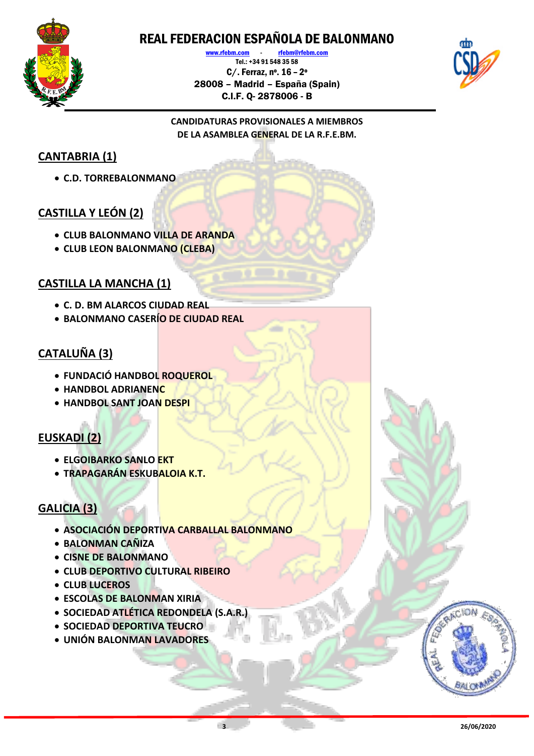

[www.rfebm.com](http://www.rfebm.com/) - [rfebm@rfebm.com](mailto:rfebm@rfebm.com) Tel.: +34 91 548 35 58 C/. Ferraz, nº. 16 – 2º 28008 – Madrid – España (Spain) C.I.F. Q- 2878006 - B



**CANDIDATURAS PROVISIONALES A MIEMBROS DE LA ASAMBLEA GENERAL DE LA R.F.E.BM.**

#### **CANTABRIA (1)**

**C.D. TORREBALONMANO**

#### **CASTILLA Y LEÓN (2)**

- **CLUB BALONMANO VILLA DE ARANDA**
- **CLUB LEON BALONMANO (CLEBA)**

#### **CASTILLA LA MANCHA (1)**

- **C. D. BM ALARCOS CIUDAD REAL**
- **BALONMANO CASERÍO DE CIUDAD REAL**

### **CATALUÑA (3)**

- **FUNDACIÓ HANDBOL ROQUEROL**
- **HANDBOL ADRIANENC**
- **HANDBOL SANT JOAN DESPI**

### **EUSKADI (2)**

- **ELGOIBARKO SANLO EKT**
- **TRAPAGARÁN ESKUBALOIA K.T.**

### **GALICIA (3)**

- **ASOCIACIÓN DEPORTIVA CARBALLAL BALONMANO**
- **BALONMAN CAÑIZA**
- **CISNE DE BALONMANO**
- **CLUB DEPORTIVO CULTURAL RIBEIRO**
- **CLUB LUCEROS**
- **ESCOLAS DE BALONMAN XIRIA**
- **SOCIEDAD ATLÉTICA REDONDELA (S.A.R.)**
- **SOCIEDAD DEPORTIVA TEUCRO**
- **UNIÓN BALONMAN LAVADORES**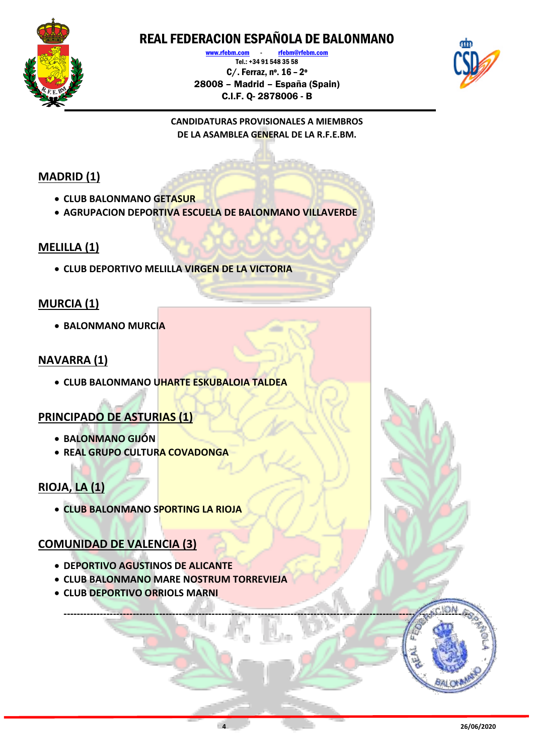

[www.rfebm.com](http://www.rfebm.com/) - [rfebm@rfebm.com](mailto:rfebm@rfebm.com) Tel.: +34 91 548 35 58 C/. Ferraz, nº. 16 – 2º 28008 – Madrid – España (Spain) C.I.F. Q- 2878006 - B



**CANDIDATURAS PROVISIONALES A MIEMBROS DE LA ASAMBLEA GENERAL DE LA R.F.E.BM.**

#### **MADRID (1)**

- **CLUB BALONMANO GETASUR**
- **AGRUPACION DEPORTIVA ESCUELA DE BALONMANO VILLAVERDE**

#### **MELILLA (1)**

**CLUB DEPORTIVO MELILLA VIRGEN DE LA VICTORIA**

#### **MURCIA (1)**

**• BALONMANO MURCIA** 

#### **NAVARRA (1)**

**CLUB BALONMANO UHARTE ESKUBALOIA TALDEA**

#### **PRINCIPADO DE ASTURIAS (1)**

- **BALONMANO GIJÓN**
- **REAL GRUPO CULTURA COVADONGA**

### **RIOJA, LA (1)**

**CLUB BALONMANO SPORTING LA RIOJA**

#### **COMUNIDAD DE VALENCIA (3)**

- **DEPORTIVO AGUSTINOS DE ALICANTE**
- **CLUB BALONMANO MARE NOSTRUM TORREVIEJA**
- **CLUB DEPORTIVO ORRIOLS MARNI**

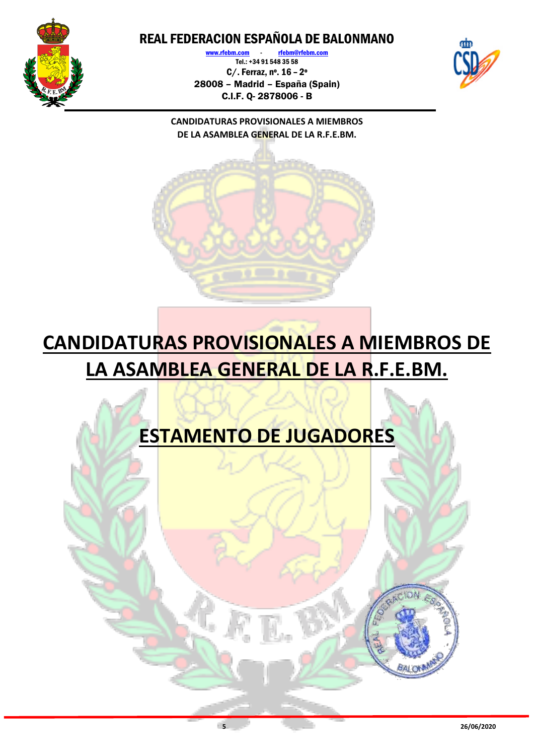

[www.rfebm.com](http://www.rfebm.com/) [rfebm@rfebm.com](mailto:rfebm@rfebm.com) Tel.: +34 91 548 35 58 C/. Ferraz, nº. 16 – 2º 28008 – Madrid – España (Spain) C.I.F. Q- 2878006 - B



**CANDIDATURAS PROVISIONALES A MIEMBROS DE LA ASAMBLEA GENERAL DE LA R.F.E.BM.**

# **CANDIDATURAS PROVISIONALES A MIEMBROS DE LA ASAMBLEA GENERAL DE LA R.F.E.BM.**

## **ESTAMENTO DE JUGADORES**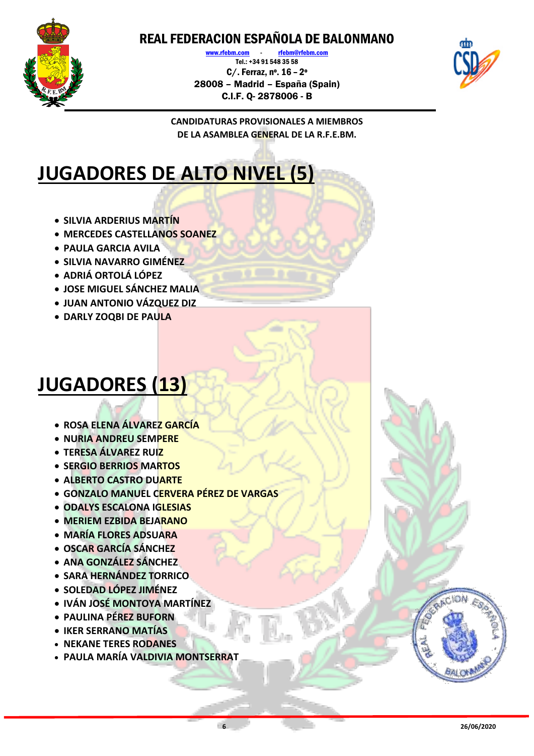

[www.rfebm.com](http://www.rfebm.com/) - [rfebm@rfebm.com](mailto:rfebm@rfebm.com) Tel.: +34 91 548 35 58 C/. Ferraz, nº. 16 – 2º 28008 – Madrid – España (Spain) C.I.F. Q- 2878006 - B



**CANDIDATURAS PROVISIONALES A MIEMBROS DE LA ASAMBLEA GENERAL DE LA R.F.E.BM.**

## **JUGADORES DE ALTO NIVEL (5)**

- **SILVIA ARDERIUS MARTÍN**
- **MERCEDES CASTELLANOS SOANEZ**
- **PAULA GARCIA AVILA**
- **SILVIA NAVARRO GIMÉNEZ**
- **ADRIÁ ORTOLÁ LÓPEZ**
- **JOSE MIGUEL SÁNCHEZ MALIA**
- **JUAN ANTONIO VÁZQUEZ DIZ**
- **DARLY ZOQBI DE PAULA**

## **JUGADORES (13)**

- **ROSA ELENA ÁLVAREZ GARCÍA**
- **NURIA ANDREU SEMPERE**
- **TERESA ÁLVAREZ RUIZ**
- **SERGIO BERRIOS MARTOS**
- **ALBERTO CASTRO DUARTE**
- **GONZALO MANUEL CERVERA PÉREZ DE VARGAS**
- **ODALYS ESCALONA IGLESIAS**
- **MERIEM EZBIDA BEJARANO**
- **MARÍA FLORES ADSUARA**
- **OSCAR GARCÍA SÁNCHEZ**
- **ANA GONZÁLEZ SÁNCHEZ**
- **SARA HERNÁNDEZ TORRICO**
- **SOLEDAD LÓPEZ JIMÉNEZ**
- **IVÁN JOSÉ MONTOYA MARTÍNEZ**
- **PAULINA PÉREZ BUFORN**
- **IKER SERRANO MATÍAS**
- **NEKANE TERES RODANES**
- **PAULA MARÍA VALDIVIA MONTSERRAT**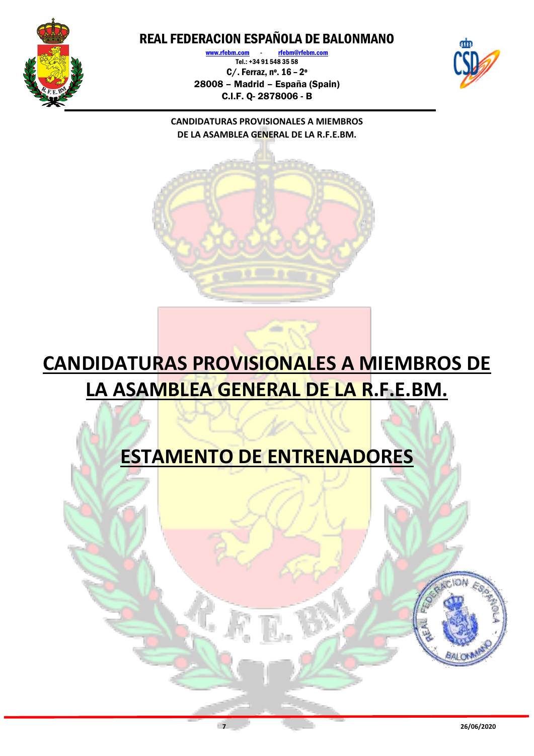

[www.rfebm.com](http://www.rfebm.com/) [rfebm@rfebm.com](mailto:rfebm@rfebm.com) Tel.: +34 91 548 35 58 C/. Ferraz, nº. 16 – 2º 28008 – Madrid – España (Spain) C.I.F. Q- 2878006 - B



**CANDIDATURAS PROVISIONALES A MIEMBROS DE LA ASAMBLEA GENERAL DE LA R.F.E.BM.**

## **CANDIDATURAS PROVISIONALES A MIEMBROS DE LA ASAMBLEA GENERAL DE LA R.F.E.BM.**

### **ESTAMENTO DE ENTRENADORES**

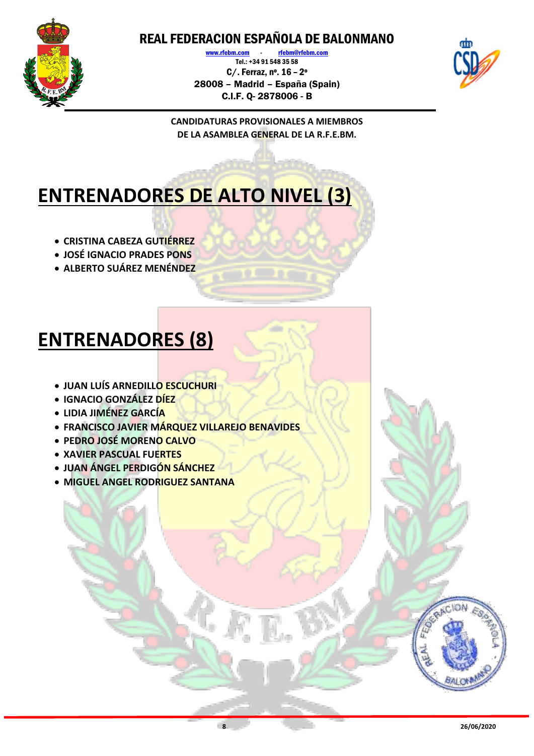

[www.rfebm.com](http://www.rfebm.com/) [rfebm@rfebm.com](mailto:rfebm@rfebm.com) Tel.: +34 91 548 35 58 C/. Ferraz, nº. 16 – 2º 28008 – Madrid – España (Spain) C.I.F. Q- 2878006 - B



**CANDIDATURAS PROVISIONALES A MIEMBROS DE LA ASAMBLEA GENERAL DE LA R.F.E.BM.**

## **ENTRENADORES DE ALTO NIVEL (3)**

- **CRISTINA CABEZA GUTIÉRREZ**
- **JOSÉ IGNACIO PRADES PONS**
- **ALBERTO SUÁREZ MENÉNDEZ**

### **ENTRENADORES (8)**

- **JUAN LUÍS ARNEDILLO ESCUCHURI**
- **IGNACIO GONZÁLEZ DÍEZ**
- **LIDIA JIMÉNEZ GARCÍA**
- **FRANCISCO JAVIER MÁRQUEZ VILLAREJO BENAVIDES**
- **PEDRO JOSÉ MORENO CALVO**
- **XAVIER PASCUAL FUERTES**
- **JUAN ÁNGEL PERDIGÓN SÁNCHEZ**
- **MIGUEL ANGEL RODRIGUEZ SANTANA**

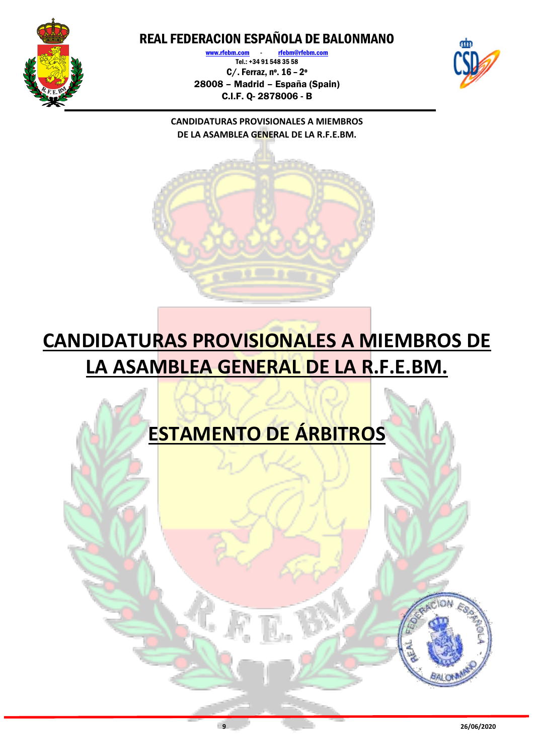

[www.rfebm.com](http://www.rfebm.com/) [rfebm@rfebm.com](mailto:rfebm@rfebm.com) Tel.: +34 91 548 35 58 C/. Ferraz, nº. 16 – 2º 28008 – Madrid – España (Spain) C.I.F. Q- 2878006 - B



**CANDIDATURAS PROVISIONALES A MIEMBROS DE LA ASAMBLEA GENERAL DE LA R.F.E.BM.**

## **CANDIDATURAS PROVISIONALES A MIEMBROS DE LA ASAMBLEA GENERAL DE LA R.F.E.BM.**

## **ESTAMENTO DE ÁRBITROS**